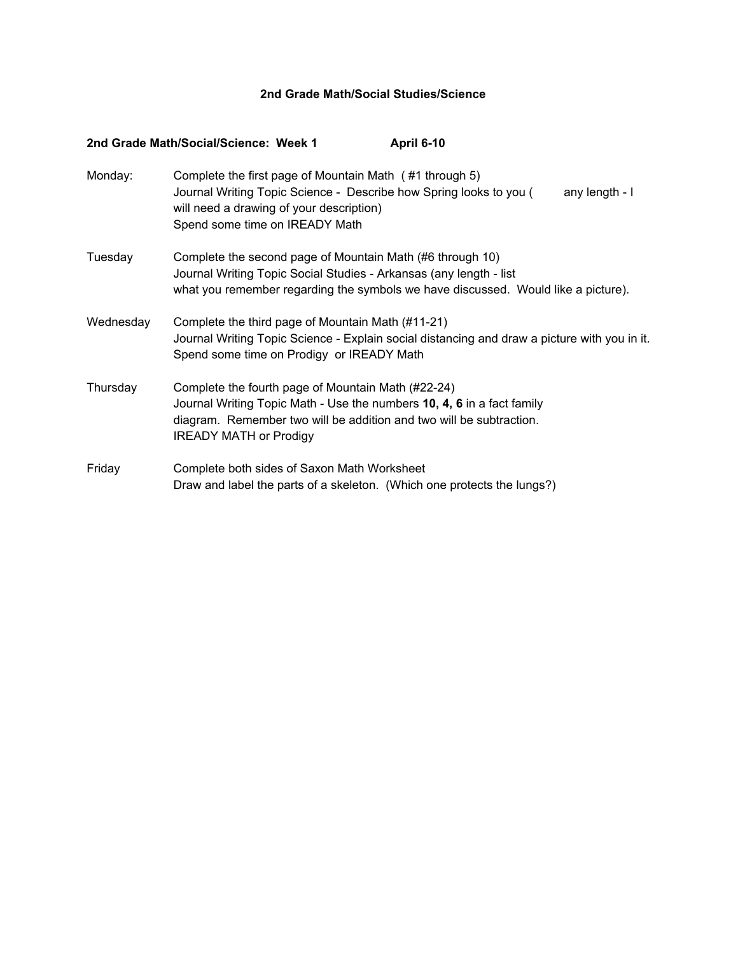## **2nd Grade Math/Social Studies/Science**

|           | April 6-10<br>2nd Grade Math/Social/Science: Week 1                                                                                                                                                                                  |
|-----------|--------------------------------------------------------------------------------------------------------------------------------------------------------------------------------------------------------------------------------------|
| Monday:   | Complete the first page of Mountain Math (#1 through 5)<br>Journal Writing Topic Science - Describe how Spring looks to you (<br>any length - I<br>will need a drawing of your description)<br>Spend some time on IREADY Math        |
| Tuesday   | Complete the second page of Mountain Math (#6 through 10)<br>Journal Writing Topic Social Studies - Arkansas (any length - list<br>what you remember regarding the symbols we have discussed. Would like a picture).                 |
| Wednesday | Complete the third page of Mountain Math (#11-21)<br>Journal Writing Topic Science - Explain social distancing and draw a picture with you in it.<br>Spend some time on Prodigy or IREADY Math                                       |
| Thursday  | Complete the fourth page of Mountain Math (#22-24)<br>Journal Writing Topic Math - Use the numbers 10, 4, 6 in a fact family<br>diagram. Remember two will be addition and two will be subtraction.<br><b>IREADY MATH or Prodigy</b> |
| Friday    | Complete both sides of Saxon Math Worksheet<br>Draw and label the parts of a skeleton. (Which one protects the lungs?)                                                                                                               |